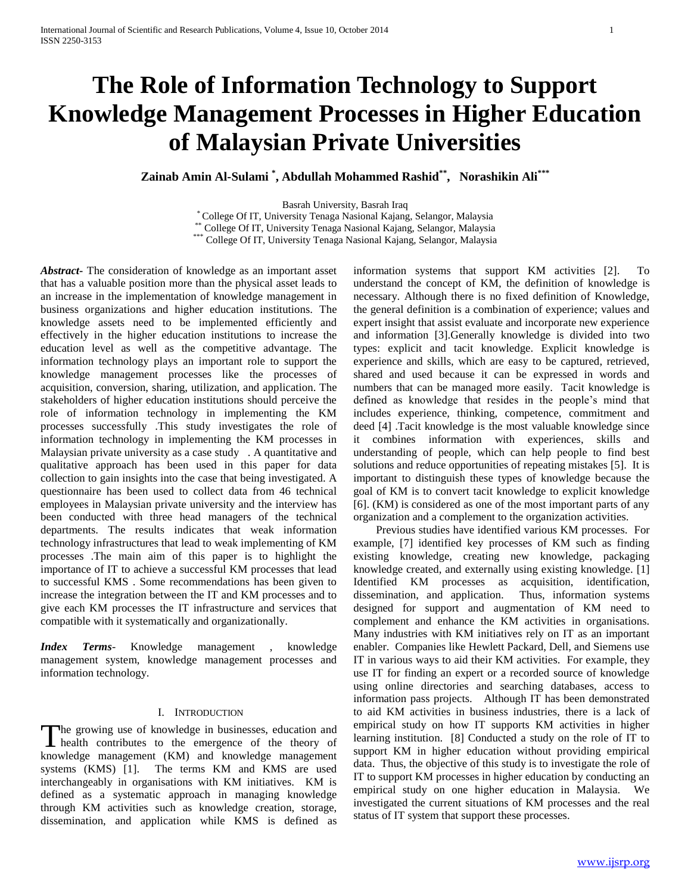# **The Role of Information Technology to Support Knowledge Management Processes in Higher Education of Malaysian Private Universities**

**Zainab Amin Al-Sulami \* , Abdullah Mohammed Rashid\*\*, Norashikin Ali\*\*\***

Basrah University, Basrah Iraq

\* College Of IT, University Tenaga Nasional Kajang, Selangor, Malaysia

\*\* College Of IT, University Tenaga Nasional Kajang, Selangor, Malaysia

\*\*\* College Of IT, University Tenaga Nasional Kajang, Selangor, Malaysia

*Abstract***-** The consideration of knowledge as an important asset that has a valuable position more than the physical asset leads to an increase in the implementation of knowledge management in business organizations and higher education institutions. The knowledge assets need to be implemented efficiently and effectively in the higher education institutions to increase the education level as well as the competitive advantage. The information technology plays an important role to support the knowledge management processes like the processes of acquisition, conversion, sharing, utilization, and application. The stakeholders of higher education institutions should perceive the role of information technology in implementing the KM processes successfully .This study investigates the role of information technology in implementing the KM processes in Malaysian private university as a case study . A quantitative and qualitative approach has been used in this paper for data collection to gain insights into the case that being investigated. A questionnaire has been used to collect data from 46 technical employees in Malaysian private university and the interview has been conducted with three head managers of the technical departments. The results indicates that weak information technology infrastructures that lead to weak implementing of KM processes .The main aim of this paper is to highlight the importance of IT to achieve a successful KM processes that lead to successful KMS . Some recommendations has been given to increase the integration between the IT and KM processes and to give each KM processes the IT infrastructure and services that compatible with it systematically and organizationally.

*Index Terms*- Knowledge management , knowledge management system, knowledge management processes and information technology.

## I. INTRODUCTION

he growing use of knowledge in businesses, education and The growing use of knowledge in businesses, education and<br>health contributes to the emergence of the theory of knowledge management (KM) and knowledge management systems (KMS) [1]. The terms KM and KMS are used interchangeably in organisations with KM initiatives. KM is defined as a systematic approach in managing knowledge through KM activities such as knowledge creation, storage, dissemination, and application while KMS is defined as

information systems that support KM activities [2]. To understand the concept of KM, the definition of knowledge is necessary. Although there is no fixed definition of Knowledge, the general definition is a combination of experience; values and expert insight that assist evaluate and incorporate new experience and information [3].Generally knowledge is divided into two types: explicit and tacit knowledge. Explicit knowledge is experience and skills, which are easy to be captured, retrieved, shared and used because it can be expressed in words and numbers that can be managed more easily. Tacit knowledge is defined as knowledge that resides in the people's mind that includes experience, thinking, competence, commitment and deed [4] .Tacit knowledge is the most valuable knowledge since it combines information with experiences, skills and understanding of people, which can help people to find best solutions and reduce opportunities of repeating mistakes [5]. It is important to distinguish these types of knowledge because the goal of KM is to convert tacit knowledge to explicit knowledge [6]. (KM) is considered as one of the most important parts of any organization and a complement to the organization activities.

 Previous studies have identified various KM processes. For example, [7] identified key processes of KM such as finding existing knowledge, creating new knowledge, packaging knowledge created, and externally using existing knowledge. [1] Identified KM processes as acquisition, identification, dissemination, and application. Thus, information systems designed for support and augmentation of KM need to complement and enhance the KM activities in organisations. Many industries with KM initiatives rely on IT as an important enabler. Companies like Hewlett Packard, Dell, and Siemens use IT in various ways to aid their KM activities. For example, they use IT for finding an expert or a recorded source of knowledge using online directories and searching databases, access to information pass projects. Although IT has been demonstrated to aid KM activities in business industries, there is a lack of empirical study on how IT supports KM activities in higher learning institution. [8] Conducted a study on the role of IT to support KM in higher education without providing empirical data. Thus, the objective of this study is to investigate the role of IT to support KM processes in higher education by conducting an empirical study on one higher education in Malaysia. We investigated the current situations of KM processes and the real status of IT system that support these processes.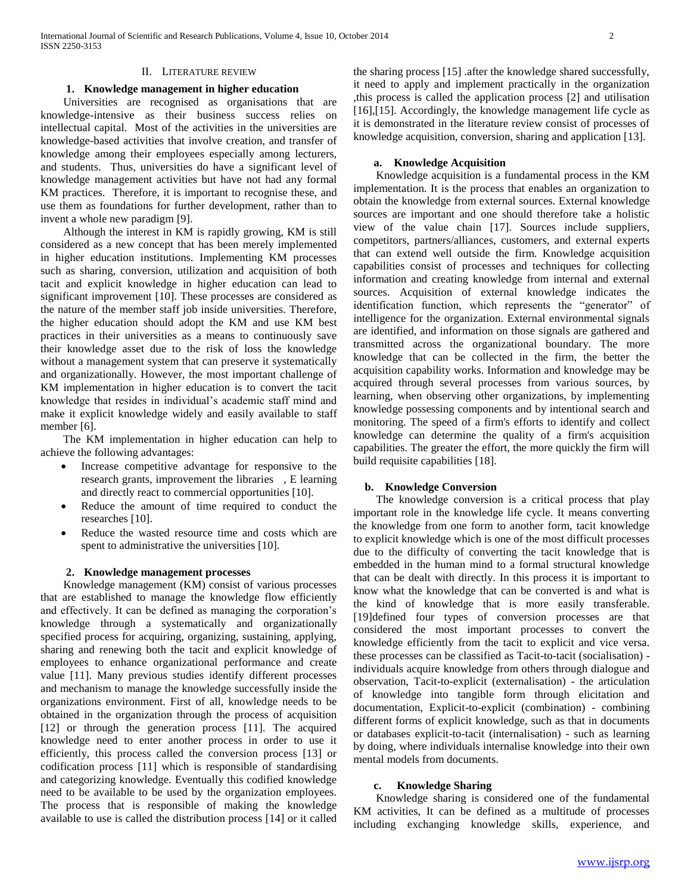### II. LITERATURE REVIEW

# **1. Knowledge management in higher education**

 Universities are recognised as organisations that are knowledge-intensive as their business success relies on intellectual capital. Most of the activities in the universities are knowledge-based activities that involve creation, and transfer of knowledge among their employees especially among lecturers, and students. Thus, universities do have a significant level of knowledge management activities but have not had any formal KM practices. Therefore, it is important to recognise these, and use them as foundations for further development, rather than to invent a whole new paradigm [9].

 Although the interest in KM is rapidly growing, KM is still considered as a new concept that has been merely implemented in higher education institutions. Implementing KM processes such as sharing, conversion, utilization and acquisition of both tacit and explicit knowledge in higher education can lead to significant improvement [10]. These processes are considered as the nature of the member staff job inside universities. Therefore, the higher education should adopt the KM and use KM best practices in their universities as a means to continuously save their knowledge asset due to the risk of loss the knowledge without a management system that can preserve it systematically and organizationally. However, the most important challenge of KM implementation in higher education is to convert the tacit knowledge that resides in individual's academic staff mind and make it explicit knowledge widely and easily available to staff member [6].

 The KM implementation in higher education can help to achieve the following advantages:

- Increase competitive advantage for responsive to the research grants, improvement the libraries , E learning and directly react to commercial opportunities [10].
- Reduce the amount of time required to conduct the researches [10].
- Reduce the wasted resource time and costs which are spent to administrative the universities [10].

## **2. Knowledge management processes**

 Knowledge management (KM) consist of various processes that are established to manage the knowledge flow efficiently and effectively. It can be defined as managing the corporation's knowledge through a systematically and organizationally specified process for acquiring, organizing, sustaining, applying, sharing and renewing both the tacit and explicit knowledge of employees to enhance organizational performance and create value [11]. Many previous studies identify different processes and mechanism to manage the knowledge successfully inside the organizations environment. First of all, knowledge needs to be obtained in the organization through the process of acquisition [12] or through the generation process [11]. The acquired knowledge need to enter another process in order to use it efficiently, this process called the conversion process [13] or codification process [11] which is responsible of standardising and categorizing knowledge. Eventually this codified knowledge need to be available to be used by the organization employees. The process that is responsible of making the knowledge available to use is called the distribution process [14] or it called

the sharing process [15] .after the knowledge shared successfully, it need to apply and implement practically in the organization ,this process is called the application process [2] and utilisation [16],[15]. Accordingly, the knowledge management life cycle as it is demonstrated in the literature review consist of processes of knowledge acquisition, conversion, sharing and application [13].

### **a. Knowledge Acquisition**

 Knowledge acquisition is a fundamental process in the KM implementation. It is the process that enables an organization to obtain the knowledge from external sources. External knowledge sources are important and one should therefore take a holistic view of the value chain [17]. Sources include suppliers, competitors, partners/alliances, customers, and external experts that can extend well outside the firm. Knowledge acquisition capabilities consist of processes and techniques for collecting information and creating knowledge from internal and external sources. Acquisition of external knowledge indicates the identification function, which represents the "generator" of intelligence for the organization. External environmental signals are identified, and information on those signals are gathered and transmitted across the organizational boundary. The more knowledge that can be collected in the firm, the better the acquisition capability works. Information and knowledge may be acquired through several processes from various sources, by learning, when observing other organizations, by implementing knowledge possessing components and by intentional search and monitoring. The speed of a firm's efforts to identify and collect knowledge can determine the quality of a firm's acquisition capabilities. The greater the effort, the more quickly the firm will build requisite capabilities [18].

### **b. Knowledge Conversion**

 The knowledge conversion is a critical process that play important role in the knowledge life cycle. It means converting the knowledge from one form to another form, tacit knowledge to explicit knowledge which is one of the most difficult processes due to the difficulty of converting the tacit knowledge that is embedded in the human mind to a formal structural knowledge that can be dealt with directly. In this process it is important to know what the knowledge that can be converted is and what is the kind of knowledge that is more easily transferable. [19]defined four types of conversion processes are that considered the most important processes to convert the knowledge efficiently from the tacit to explicit and vice versa. these processes can be classified as Tacit-to-tacit (socialisation) individuals acquire knowledge from others through dialogue and observation, Tacit-to-explicit (externalisation) - the articulation of knowledge into tangible form through elicitation and documentation, Explicit-to-explicit (combination) - combining different forms of explicit knowledge, such as that in documents or databases explicit-to-tacit (internalisation) - such as learning by doing, where individuals internalise knowledge into their own mental models from documents.

### **c. Knowledge Sharing**

 Knowledge sharing is considered one of the fundamental KM activities, It can be defined as a multitude of processes including exchanging knowledge skills, experience, and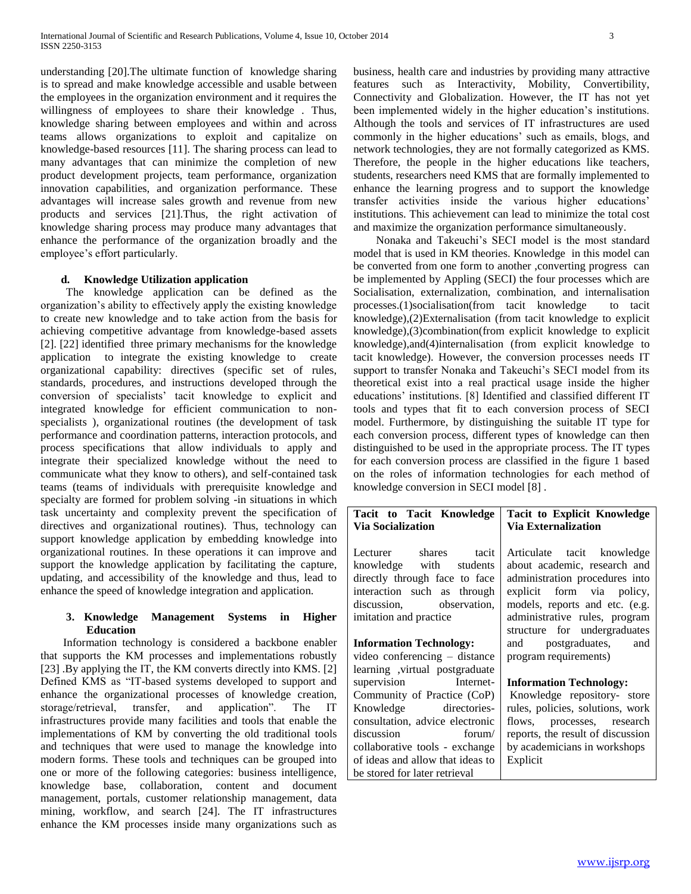understanding [20].The ultimate function of knowledge sharing is to spread and make knowledge accessible and usable between the employees in the organization environment and it requires the willingness of employees to share their knowledge . Thus, knowledge sharing between employees and within and across teams allows organizations to exploit and capitalize on knowledge-based resources [11]. The sharing process can lead to many advantages that can minimize the completion of new product development projects, team performance, organization innovation capabilities, and organization performance. These advantages will increase sales growth and revenue from new products and services [21].Thus, the right activation of knowledge sharing process may produce many advantages that enhance the performance of the organization broadly and the employee's effort particularly.

# **d. Knowledge Utilization application**

 The knowledge application can be defined as the organization's ability to effectively apply the existing knowledge to create new knowledge and to take action from the basis for achieving competitive advantage from knowledge-based assets [2]. [22] identified three primary mechanisms for the knowledge application to integrate the existing knowledge to create organizational capability: directives (specific set of rules, standards, procedures, and instructions developed through the conversion of specialists' tacit knowledge to explicit and integrated knowledge for efficient communication to nonspecialists ), organizational routines (the development of task performance and coordination patterns, interaction protocols, and process specifications that allow individuals to apply and integrate their specialized knowledge without the need to communicate what they know to others), and self-contained task teams (teams of individuals with prerequisite knowledge and specialty are formed for problem solving -in situations in which task uncertainty and complexity prevent the specification of directives and organizational routines). Thus, technology can support knowledge application by embedding knowledge into organizational routines. In these operations it can improve and support the knowledge application by facilitating the capture, updating, and accessibility of the knowledge and thus, lead to enhance the speed of knowledge integration and application.

# **3. Knowledge Management Systems in Higher Education**

 Information technology is considered a backbone enabler that supports the KM processes and implementations robustly [23] .By applying the IT, the KM converts directly into KMS. [2] Defined KMS as "IT-based systems developed to support and enhance the organizational processes of knowledge creation, storage/retrieval, transfer, and application". The IT infrastructures provide many facilities and tools that enable the implementations of KM by converting the old traditional tools and techniques that were used to manage the knowledge into modern forms. These tools and techniques can be grouped into one or more of the following categories: business intelligence, knowledge base, collaboration, content and document management, portals, customer relationship management, data mining, workflow, and search [24]. The IT infrastructures enhance the KM processes inside many organizations such as

business, health care and industries by providing many attractive features such as Interactivity, Mobility, Convertibility, Connectivity and Globalization. However, the IT has not yet been implemented widely in the higher education's institutions. Although the tools and services of IT infrastructures are used commonly in the higher educations' such as emails, blogs, and network technologies, they are not formally categorized as KMS. Therefore, the people in the higher educations like teachers, students, researchers need KMS that are formally implemented to enhance the learning progress and to support the knowledge transfer activities inside the various higher educations' institutions. This achievement can lead to minimize the total cost and maximize the organization performance simultaneously.

 Nonaka and Takeuchi's SECI model is the most standard model that is used in KM theories. Knowledge in this model can be converted from one form to another ,converting progress can be implemented by Appling (SECI) the four processes which are Socialisation, externalization, combination, and internalisation processes.(1)socialisation(from tacit knowledge to tacit knowledge),(2)Externalisation (from tacit knowledge to explicit knowledge),(3)combination(from explicit knowledge to explicit knowledge),and(4)internalisation (from explicit knowledge to tacit knowledge). However, the conversion processes needs IT support to transfer Nonaka and Takeuchi's SECI model from its theoretical exist into a real practical usage inside the higher educations' institutions. [8] Identified and classified different IT tools and types that fit to each conversion process of SECI model. Furthermore, by distinguishing the suitable IT type for each conversion process, different types of knowledge can then distinguished to be used in the appropriate process. The IT types for each conversion process are classified in the figure 1 based on the roles of information technologies for each method of knowledge conversion in SECI model [8] .

| Tacit to Tacit Knowledge                                                                                                                                                                                                                                                            | <b>Tacit to Explicit Knowledge</b>                                                                                                                                                                               |  |  |  |  |
|-------------------------------------------------------------------------------------------------------------------------------------------------------------------------------------------------------------------------------------------------------------------------------------|------------------------------------------------------------------------------------------------------------------------------------------------------------------------------------------------------------------|--|--|--|--|
| <b>Via Socialization</b>                                                                                                                                                                                                                                                            | Via Externalization                                                                                                                                                                                              |  |  |  |  |
| Lecturer shares tacit                                                                                                                                                                                                                                                               | Articulate tacit knowledge                                                                                                                                                                                       |  |  |  |  |
| knowledge with students                                                                                                                                                                                                                                                             | about academic, research and                                                                                                                                                                                     |  |  |  |  |
| directly through face to face                                                                                                                                                                                                                                                       | administration procedures into                                                                                                                                                                                   |  |  |  |  |
| interaction such as through                                                                                                                                                                                                                                                         | explicit form via policy,                                                                                                                                                                                        |  |  |  |  |
| discussion, observation,                                                                                                                                                                                                                                                            | models, reports and etc. (e.g.                                                                                                                                                                                   |  |  |  |  |
| imitation and practice                                                                                                                                                                                                                                                              | administrative rules, program                                                                                                                                                                                    |  |  |  |  |
| <b>Information Technology:</b><br>video conferencing - distance                                                                                                                                                                                                                     | structure for undergraduates<br>and postgraduates,<br>and<br>program requirements)                                                                                                                               |  |  |  |  |
| learning , virtual postgraduate<br>supervision Internet-<br>Community of Practice (CoP)<br>Knowledge directories-<br>consultation, advice electronic<br>forum/<br>discussion<br>collaborative tools - exchange<br>of ideas and allow that ideas to<br>be stored for later retrieval | <b>Information Technology:</b><br>Knowledge repository- store<br>rules, policies, solutions, work<br>flows, processes, research<br>reports, the result of discussion<br>by academicians in workshops<br>Explicit |  |  |  |  |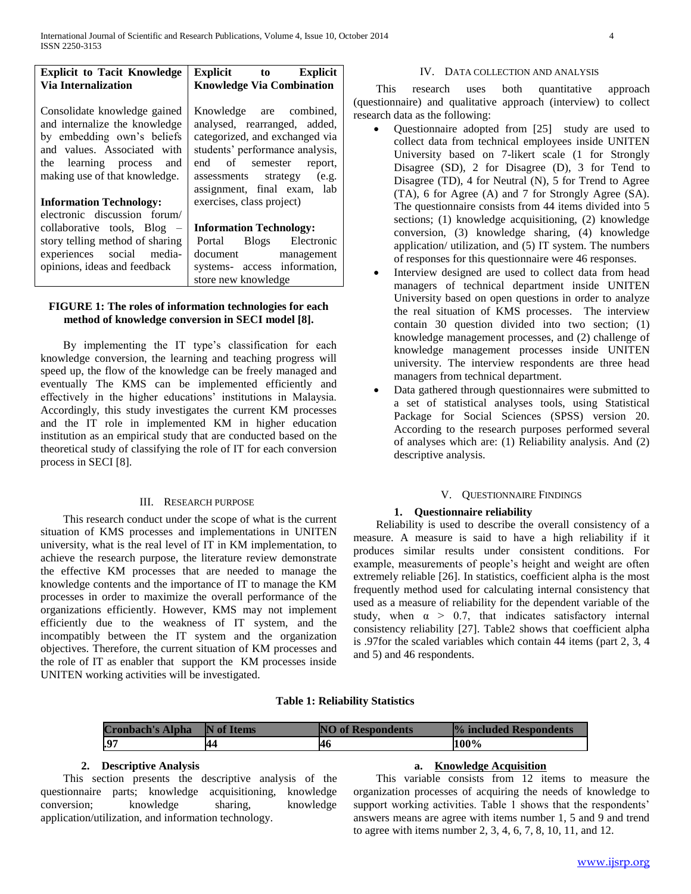| <b>Explicit to Tacit Knowledge</b>                                                                                                                                                      | <b>Explicit</b> to Explicit                                                                                                                                                                                          |
|-----------------------------------------------------------------------------------------------------------------------------------------------------------------------------------------|----------------------------------------------------------------------------------------------------------------------------------------------------------------------------------------------------------------------|
| <b>Via Internalization</b>                                                                                                                                                              | <b>Knowledge Via Combination</b>                                                                                                                                                                                     |
| Consolidate knowledge gained<br>and internalize the knowledge<br>by embedding own's beliefs<br>and values. Associated with<br>the learning process and<br>making use of that knowledge. | Knowledge are combined,<br>analysed, rearranged, added,<br>categorized, and exchanged via<br>students' performance analysis,<br>end of semester report,<br>assessments strategy (e.g.<br>assignment, final exam, lab |
| <b>Information Technology:</b>                                                                                                                                                          | exercises, class project)                                                                                                                                                                                            |
| electronic discussion forum/                                                                                                                                                            |                                                                                                                                                                                                                      |
| collaborative tools, Blog -                                                                                                                                                             | <b>Information Technology:</b>                                                                                                                                                                                       |
| story telling method of sharing                                                                                                                                                         | Portal Blogs Electronic                                                                                                                                                                                              |
| experiences social media-                                                                                                                                                               | document management                                                                                                                                                                                                  |
| opinions, ideas and feedback                                                                                                                                                            | systems- access information,                                                                                                                                                                                         |
|                                                                                                                                                                                         | store new knowledge                                                                                                                                                                                                  |

# **FIGURE 1: The roles of information technologies for each method of knowledge conversion in SECI model [8].**

 By implementing the IT type's classification for each knowledge conversion, the learning and teaching progress will speed up, the flow of the knowledge can be freely managed and eventually The KMS can be implemented efficiently and effectively in the higher educations' institutions in Malaysia. Accordingly, this study investigates the current KM processes and the IT role in implemented KM in higher education institution as an empirical study that are conducted based on the theoretical study of classifying the role of IT for each conversion process in SECI [8].

# III. RESEARCH PURPOSE

 This research conduct under the scope of what is the current situation of KMS processes and implementations in UNITEN university, what is the real level of IT in KM implementation, to achieve the research purpose, the literature review demonstrate the effective KM processes that are needed to manage the knowledge contents and the importance of IT to manage the KM processes in order to maximize the overall performance of the organizations efficiently. However, KMS may not implement efficiently due to the weakness of IT system, and the incompatibly between the IT system and the organization objectives. Therefore, the current situation of KM processes and the role of IT as enabler that support the KM processes inside UNITEN working activities will be investigated.

# IV. DATA COLLECTION AND ANALYSIS

 This research uses both quantitative approach (questionnaire) and qualitative approach (interview) to collect research data as the following:

- Questionnaire adopted from [25] study are used to collect data from technical employees inside UNITEN University based on 7-likert scale (1 for Strongly Disagree (SD), 2 for Disagree (D), 3 for Tend to Disagree (TD), 4 for Neutral (N), 5 for Trend to Agree (TA), 6 for Agree (A) and 7 for Strongly Agree (SA). The questionnaire consists from 44 items divided into 5 sections; (1) knowledge acquisitioning, (2) knowledge conversion, (3) knowledge sharing, (4) knowledge application/ utilization, and (5) IT system. The numbers of responses for this questionnaire were 46 responses.
- Interview designed are used to collect data from head managers of technical department inside UNITEN University based on open questions in order to analyze the real situation of KMS processes. The interview contain 30 question divided into two section; (1) knowledge management processes, and (2) challenge of knowledge management processes inside UNITEN university. The interview respondents are three head managers from technical department.
- Data gathered through questionnaires were submitted to a set of statistical analyses tools, using Statistical Package for Social Sciences (SPSS) version 20. According to the research purposes performed several of analyses which are: (1) Reliability analysis. And (2) descriptive analysis.

### V. QUESTIONNAIRE FINDINGS

### **1. Questionnaire reliability**

 Reliability is used to describe the overall consistency of a measure. A measure is said to have a high reliability if it produces similar results under consistent conditions. For example, measurements of people's height and weight are often extremely reliable [26]. In statistics, coefficient alpha is the most frequently method used for calculating internal consistency that used as a measure of reliability for the dependent variable of the study, when  $\alpha > 0.7$ , that indicates satisfactory internal consistency reliability [27]. Table2 shows that coefficient alpha is .97for the scaled variables which contain 44 items (part 2, 3, 4 and 5) and 46 respondents.

| <b>Cronbach's Alpha</b> | N of Items | <b>NO</b> of Respondents | <b><i>V</i></b> included Respondents |
|-------------------------|------------|--------------------------|--------------------------------------|
| $\cdot$ .9              |            | 14 C                     | 100%                                 |

### **2. Descriptive Analysis**

 This section presents the descriptive analysis of the questionnaire parts; knowledge acquisitioning, knowledge conversion; knowledge sharing, knowledge application/utilization, and information technology.

### **a. Knowledge Acquisition**

 This variable consists from 12 items to measure the organization processes of acquiring the needs of knowledge to support working activities. Table 1 shows that the respondents' answers means are agree with items number 1, 5 and 9 and trend to agree with items number 2, 3, 4, 6, 7, 8, 10, 11, and 12.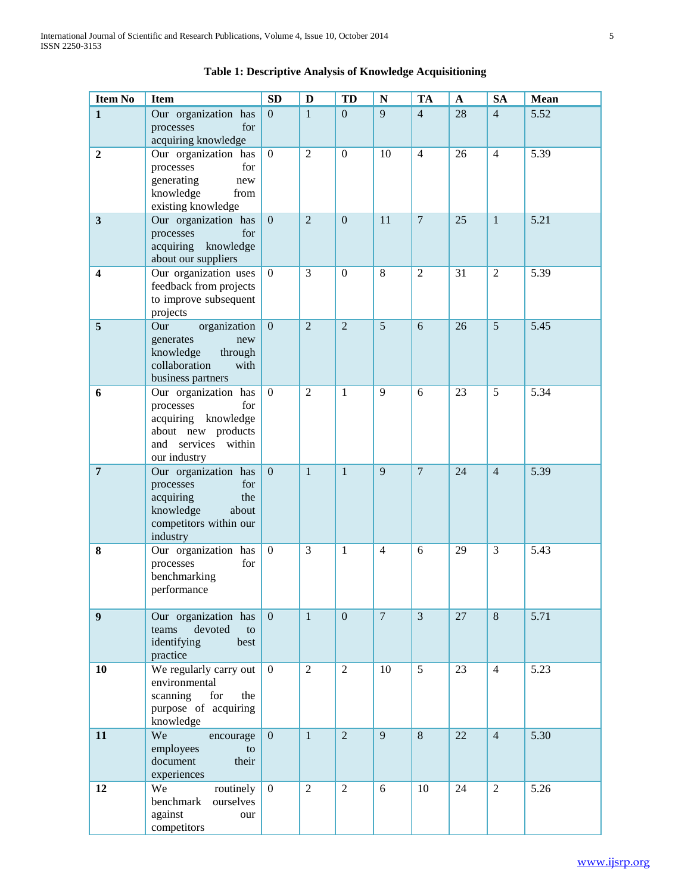| <b>Item No</b>          | <b>Item</b>                                                                                                                     | <b>SD</b>        | $\mathbf{D}$   | TD               | N              | <b>TA</b>      | $\mathbf A$ | <b>SA</b>      | Mean |
|-------------------------|---------------------------------------------------------------------------------------------------------------------------------|------------------|----------------|------------------|----------------|----------------|-------------|----------------|------|
| $\mathbf{1}$            | Our organization has<br>processes<br>for<br>acquiring knowledge                                                                 | $\mathbf{0}$     | $\mathbf{1}$   | $\mathbf{0}$     | 9              | $\overline{4}$ | 28          | $\overline{4}$ | 5.52 |
| $\boldsymbol{2}$        | Our organization has<br>processes<br>for<br>generating<br>new<br>knowledge<br>from<br>existing knowledge                        | $\overline{0}$   | $\overline{2}$ | $\boldsymbol{0}$ | 10             | $\overline{4}$ | 26          | $\overline{4}$ | 5.39 |
| $\mathbf{3}$            | Our organization has<br>processes<br>for<br>acquiring<br>knowledge<br>about our suppliers                                       | $\mathbf{0}$     | $\overline{2}$ | $\boldsymbol{0}$ | 11             | $\overline{7}$ | 25          | $\mathbf{1}$   | 5.21 |
| $\overline{\mathbf{4}}$ | Our organization uses<br>feedback from projects<br>to improve subsequent<br>projects                                            | $\overline{0}$   | 3              | $\boldsymbol{0}$ | 8              | $\overline{2}$ | 31          | $\overline{2}$ | 5.39 |
| $\overline{5}$          | Our<br>organization<br>generates<br>new<br>knowledge<br>through<br>collaboration<br>with<br>business partners                   | $\mathbf{0}$     | $\overline{2}$ | $\overline{2}$   | 5              | 6              | 26          | 5              | 5.45 |
| 6                       | Our organization has<br>processes<br>for<br>acquiring<br>knowledge<br>about new products<br>and services within<br>our industry | $\boldsymbol{0}$ | $\overline{2}$ | $\mathbf{1}$     | 9              | 6              | 23          | 5              | 5.34 |
| $\overline{7}$          | Our organization has<br>processes<br>for<br>acquiring<br>the<br>knowledge<br>about<br>competitors within our<br>industry        | $\overline{0}$   | $\mathbf{1}$   | $\mathbf{1}$     | 9              | $\overline{7}$ | 24          | $\overline{4}$ | 5.39 |
| 8                       | Our organization has<br>processes<br>for<br>benchmarking<br>performance                                                         | $\boldsymbol{0}$ | 3              | 1                | $\overline{4}$ | 6              | 29          | 3              | 5.43 |
| $\boldsymbol{9}$        | Our organization has<br>devoted<br>teams<br>to<br>identifying<br>best<br>practice                                               | $\theta$         | $\mathbf{1}$   | $\overline{0}$   | $\overline{7}$ | $\overline{3}$ | 27          | 8              | 5.71 |
| 10                      | We regularly carry out<br>environmental<br>scanning<br>for<br>the<br>purpose of acquiring<br>knowledge                          | $\Omega$         | $\overline{2}$ | $\overline{2}$   | 10             | 5              | 23          | $\overline{4}$ | 5.23 |
| 11                      | We<br>encourage<br>employees<br>to<br>document<br>their<br>experiences                                                          | $\overline{0}$   | $\mathbf{1}$   | $\overline{2}$   | 9              | $\,8\,$        | 22          | $\overline{4}$ | 5.30 |
| 12                      | We<br>routinely<br>benchmark<br>ourselves<br>against<br>our<br>competitors                                                      | $\overline{0}$   | $\mathfrak{2}$ | $\mathbf{2}$     | 6              | 10             | 24          | $\overline{2}$ | 5.26 |

# **Table 1: Descriptive Analysis of Knowledge Acquisitioning**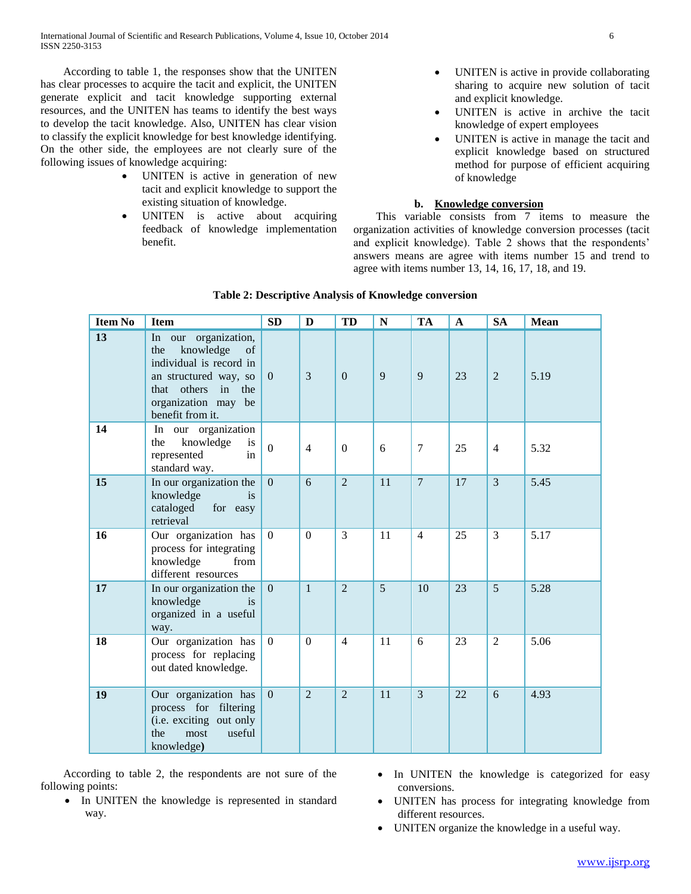According to table 1, the responses show that the UNITEN has clear processes to acquire the tacit and explicit, the UNITEN generate explicit and tacit knowledge supporting external resources, and the UNITEN has teams to identify the best ways to develop the tacit knowledge. Also, UNITEN has clear vision to classify the explicit knowledge for best knowledge identifying. On the other side, the employees are not clearly sure of the following issues of knowledge acquiring:

- UNITEN is active in generation of new tacit and explicit knowledge to support the existing situation of knowledge.
- UNITEN is active about acquiring feedback of knowledge implementation benefit.
- UNITEN is active in provide collaborating sharing to acquire new solution of tacit and explicit knowledge.
- UNITEN is active in archive the tacit knowledge of expert employees
- UNITEN is active in manage the tacit and explicit knowledge based on structured method for purpose of efficient acquiring of knowledge

# **b. Knowledge conversion**

 This variable consists from 7 items to measure the organization activities of knowledge conversion processes (tacit and explicit knowledge). Table 2 shows that the respondents' answers means are agree with items number 15 and trend to agree with items number 13, 14, 16, 17, 18, and 19.

| <b>Item No</b> | <b>Item</b>                                                                                                                                                                  | <b>SD</b>        | D              | TD             | ${\bf N}$ | TA             | $\mathbf A$ | <b>SA</b>      | <b>Mean</b> |
|----------------|------------------------------------------------------------------------------------------------------------------------------------------------------------------------------|------------------|----------------|----------------|-----------|----------------|-------------|----------------|-------------|
| 13             | In our organization,<br>knowledge<br>the<br>of<br>individual is record in<br>an structured way, so<br>others<br>that<br>in<br>the<br>organization may be<br>benefit from it. | $\boldsymbol{0}$ | 3              | $\Omega$       | 9         | 9              | 23          | $\overline{2}$ | 5.19        |
| 14             | In our organization<br>knowledge<br>is<br>the<br>represented<br>in<br>standard way.                                                                                          | $\Omega$         | $\overline{4}$ | $\theta$       | 6         | 7              | 25          | $\overline{4}$ | 5.32        |
| 15             | In our organization the<br>knowledge<br><i>is</i><br>cataloged<br>for easy<br>retrieval                                                                                      | $\overline{0}$   | 6              | $\overline{2}$ | 11        | $\overline{7}$ | 17          | $\overline{3}$ | 5.45        |
| 16             | Our organization has<br>process for integrating<br>knowledge<br>from<br>different resources                                                                                  | $\overline{0}$   | $\theta$       | 3              | 11        | $\overline{4}$ | 25          | 3              | 5.17        |
| 17             | In our organization the<br>knowledge<br><i>is</i><br>organized in a useful<br>way.                                                                                           | $\boldsymbol{0}$ | $\mathbf{1}$   | $\overline{2}$ | 5         | 10             | 23          | 5              | 5.28        |
| 18             | Our organization has<br>process for replacing<br>out dated knowledge.                                                                                                        | $\mathbf{0}$     | $\theta$       | $\overline{4}$ | 11        | 6              | 23          | 2              | 5.06        |
| 19             | Our organization has<br>process for filtering<br>(i.e. exciting out only<br>most<br>useful<br>the<br>knowledge)                                                              | $\overline{0}$   | $\overline{2}$ | $\overline{2}$ | 11        | 3              | 22          | 6              | 4.93        |

# **Table 2: Descriptive Analysis of Knowledge conversion**

 According to table 2, the respondents are not sure of the following points:

- In UNITEN the knowledge is represented in standard way.
- In UNITEN the knowledge is categorized for easy conversions.
- UNITEN has process for integrating knowledge from different resources.
- UNITEN organize the knowledge in a useful way.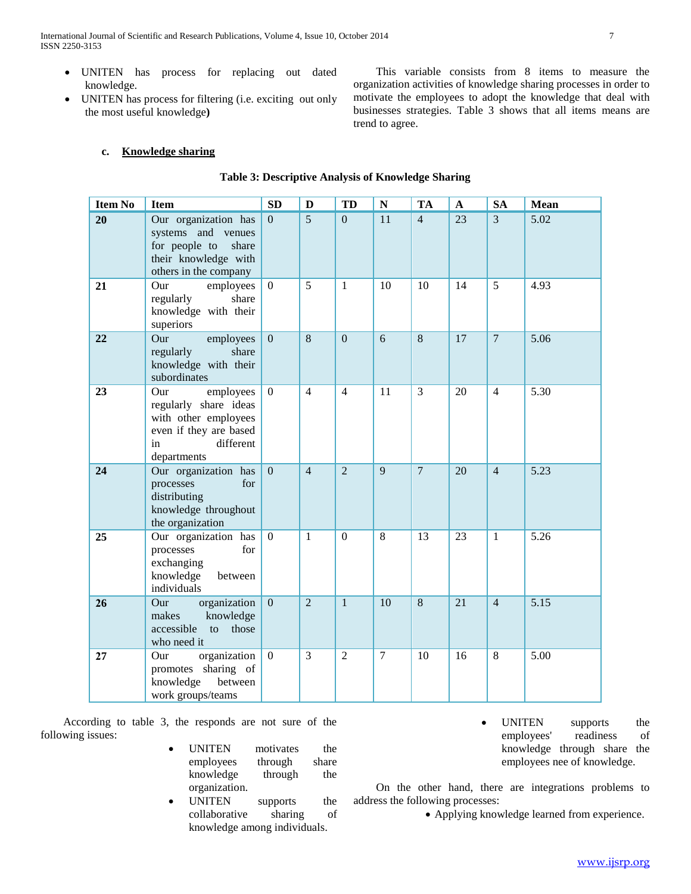International Journal of Scientific and Research Publications, Volume 4, Issue 10, October 2014 7 ISSN 2250-3153

- UNITEN has process for replacing out dated knowledge.
- UNITEN has process for filtering (i.e. exciting out only the most useful knowledge**)**

 This variable consists from 8 items to measure the organization activities of knowledge sharing processes in order to motivate the employees to adopt the knowledge that deal with businesses strategies. Table 3 shows that all items means are trend to agree.

# **c. Knowledge sharing**

# **Table 3: Descriptive Analysis of Knowledge Sharing**

| <b>Item No</b> | <b>Item</b>                                                                                                                   | SD           | D              | TD             | ${\bf N}$      | <b>TA</b>      | $\mathbf A$ | <b>SA</b>      | <b>Mean</b> |
|----------------|-------------------------------------------------------------------------------------------------------------------------------|--------------|----------------|----------------|----------------|----------------|-------------|----------------|-------------|
| 20             | Our organization has<br>systems and venues<br>for people to<br>share<br>their knowledge with<br>others in the company         | $\mathbf{0}$ | 5              | $\overline{0}$ | 11             | $\overline{4}$ | 23          | $\overline{3}$ | 5.02        |
| 21             | employees<br>Our<br>regularly<br>share<br>knowledge with their<br>superiors                                                   | $\Omega$     | 5 <sup>5</sup> | $\mathbf{1}$   | 10             | 10             | 14          | 5              | 4.93        |
| 22             | Our<br>employees<br>regularly<br>share<br>knowledge with their<br>subordinates                                                | $\mathbf{0}$ | $\overline{8}$ | $\overline{0}$ | 6              | 8              | 17          | $\overline{7}$ | 5.06        |
| 23             | employees<br>Our<br>regularly share ideas<br>with other employees<br>even if they are based<br>different<br>in<br>departments | $\mathbf{0}$ | $\overline{4}$ | $\overline{4}$ | 11             | 3              | 20          | $\overline{4}$ | 5.30        |
| 24             | Our organization has<br>processes<br>for<br>distributing<br>knowledge throughout<br>the organization                          | $\mathbf{0}$ | $\overline{4}$ | $\overline{2}$ | 9              | $\overline{7}$ | 20          | $\overline{4}$ | 5.23        |
| 25             | Our organization has<br>processes<br>for<br>exchanging<br>knowledge<br>between<br>individuals                                 | $\Omega$     | $\mathbf{1}$   | $\theta$       | 8              | 13             | 23          | $\mathbf{1}$   | 5.26        |
| 26             | organization<br>Our<br>makes<br>knowledge<br>accessible<br>those<br>to<br>who need it                                         | $\mathbf{0}$ | $\overline{2}$ | $\mathbf{1}$   | 10             | 8              | 21          | $\overline{4}$ | 5.15        |
| 27             | organization<br>Our<br>promotes sharing of<br>knowledge<br>between<br>work groups/teams                                       | $\Omega$     | $\overline{3}$ | $\overline{2}$ | $\overline{7}$ | 10             | 16          | 8              | 5.00        |

 According to table 3, the responds are not sure of the following issues:

- UNITEN motivates the employees through share knowledge through the organization.
- UNITEN supports the collaborative sharing of knowledge among individuals.

• UNITEN supports the employees' readiness of knowledge through share the employees nee of knowledge.

 On the other hand, there are integrations problems to address the following processes:

Applying knowledge learned from experience.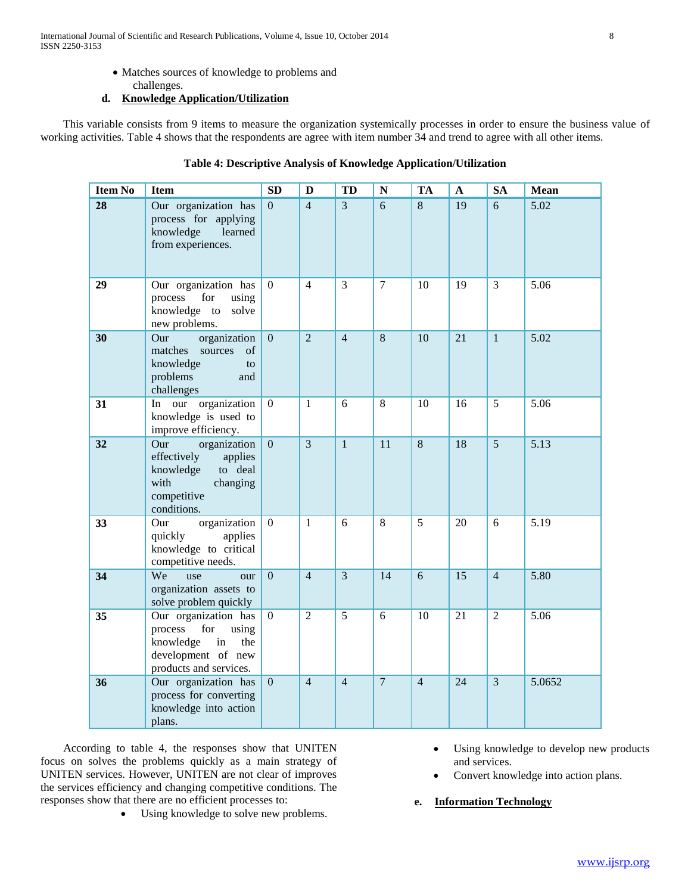- Matches sources of knowledge to problems and
- challenges. **d. Knowledge Application/Utilization**

 This variable consists from 9 items to measure the organization systemically processes in order to ensure the business value of working activities. Table 4 shows that the respondents are agree with item number 34 and trend to agree with all other items.

# **Table 4: Descriptive Analysis of Knowledge Application/Utilization**

| <b>Item No</b>  | <b>Item</b>                                                                                                               | <b>SD</b>      | D              | <b>TD</b>      | N              | <b>TA</b>      | A               | <b>SA</b>      | Mean   |
|-----------------|---------------------------------------------------------------------------------------------------------------------------|----------------|----------------|----------------|----------------|----------------|-----------------|----------------|--------|
| $\overline{28}$ | Our organization has<br>process for applying<br>knowledge<br>learned<br>from experiences.                                 | $\Omega$       | $\overline{4}$ | $\overline{3}$ | 6              | 8              | 19              | 6              | 5.02   |
| 29              | Our organization has<br>process<br>for<br>using<br>knowledge to solve<br>new problems.                                    | $\Omega$       | $\overline{4}$ | 3              | $\overline{7}$ | 10             | 19              | 3              | 5.06   |
| 30              | organization<br>Our<br>matches<br>sources<br>of<br>knowledge<br>to<br>problems<br>and<br>challenges                       | $\mathbf{0}$   | $\overline{2}$ | $\overline{4}$ | 8              | 10             | 21              | $\mathbf{1}$   | 5.02   |
| 31              | In our organization<br>knowledge is used to<br>improve efficiency.                                                        | $\overline{0}$ | $\mathbf{1}$   | 6              | 8              | 10             | 16              | 5              | 5.06   |
| 32              | organization<br>Our<br>effectively<br>applies<br>knowledge<br>to deal<br>with<br>changing<br>competitive<br>conditions.   | $\overline{0}$ | $\overline{3}$ | $\mathbf{1}$   | 11             | $\,8\,$        | 18              | $\overline{5}$ | 5.13   |
| 33              | organization<br>Our<br>applies<br>quickly<br>knowledge to critical<br>competitive needs.                                  | $\overline{0}$ | $\mathbf{1}$   | 6              | 8              | 5              | 20              | 6              | 5.19   |
| 34              | We<br>use<br>our<br>organization assets to<br>solve problem quickly                                                       | $\overline{0}$ | $\overline{4}$ | $\overline{3}$ | 14             | 6              | $\overline{15}$ | $\overline{4}$ | 5.80   |
| 35              | Our organization has<br>process<br>for<br>using<br>knowledge<br>in<br>the<br>development of new<br>products and services. | $\Omega$       | $\overline{2}$ | $\overline{5}$ | 6              | 10             | 21              | $\overline{2}$ | 5.06   |
| 36              | Our organization has<br>process for converting<br>knowledge into action<br>plans.                                         | $\overline{0}$ | $\overline{4}$ | $\overline{4}$ | $\overline{7}$ | $\overline{4}$ | 24              | $\overline{3}$ | 5.0652 |

 According to table 4, the responses show that UNITEN focus on solves the problems quickly as a main strategy of UNITEN services. However, UNITEN are not clear of improves the services efficiency and changing competitive conditions. The responses show that there are no efficient processes to:

Using knowledge to solve new problems.

- Using knowledge to develop new products and services.
- Convert knowledge into action plans.
- **e. Information Technology**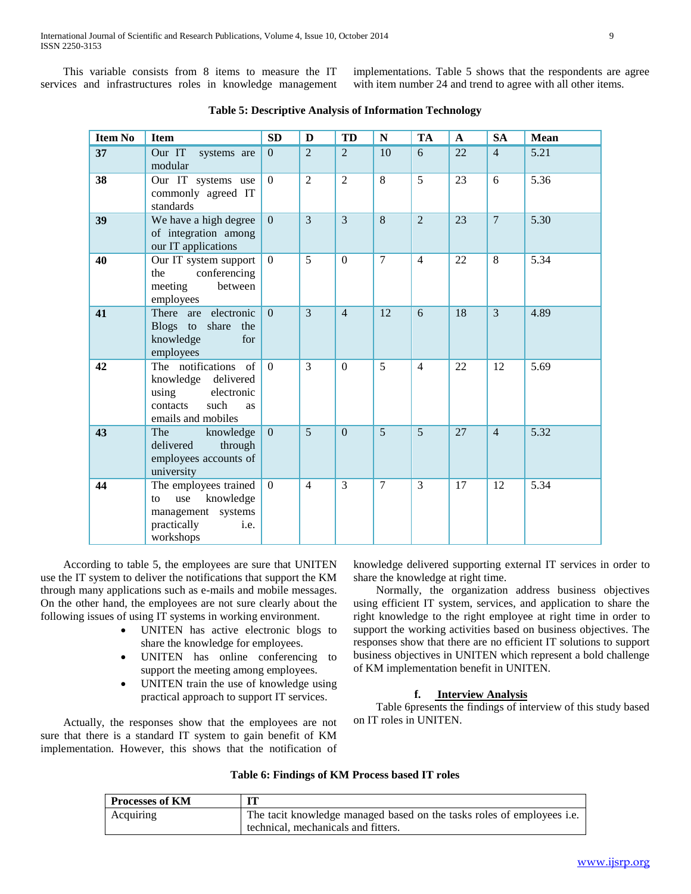This variable consists from 8 items to measure the IT services and infrastructures roles in knowledge management implementations. Table 5 shows that the respondents are agree with item number 24 and trend to agree with all other items.

| <b>Item No</b> | <b>Item</b>                                                                                                           | SD             | D              | <b>TD</b>      | ${\bf N}$      | <b>TA</b>      | $\mathbf{A}$ | <b>SA</b>      | <b>Mean</b> |
|----------------|-----------------------------------------------------------------------------------------------------------------------|----------------|----------------|----------------|----------------|----------------|--------------|----------------|-------------|
| 37             | Our IT<br>systems are<br>modular                                                                                      | $\overline{0}$ | $\overline{2}$ | $\overline{2}$ | 10             | 6              | 22           | $\overline{4}$ | 5.21        |
| 38             | Our IT systems use<br>commonly agreed IT<br>standards                                                                 | $\mathbf{0}$   | $\overline{2}$ | $\overline{2}$ | 8              | $\overline{5}$ | 23           | 6              | 5.36        |
| 39             | We have a high degree<br>of integration among<br>our IT applications                                                  | $\overline{0}$ | $\overline{3}$ | 3              | 8              | $\overline{2}$ | 23           | $\overline{7}$ | 5.30        |
| 40             | Our IT system support<br>conferencing<br>the<br>meeting<br>between<br>employees                                       | $\Omega$       | 5              | $\mathbf{0}$   | $\overline{7}$ | $\overline{4}$ | 22           | 8              | 5.34        |
| 41             | There are electronic<br>Blogs to share the<br>knowledge<br>for<br>employees                                           | $\Omega$       | $\mathcal{E}$  | $\overline{4}$ | 12             | 6              | 18           | 3              | 4.89        |
| 42             | The notifications<br>of<br>knowledge delivered<br>electronic<br>using<br>such<br>contacts<br>as<br>emails and mobiles | $\mathbf{0}$   | $\overline{3}$ | $\Omega$       | $\overline{5}$ | $\overline{4}$ | 22           | 12             | 5.69        |
| 43             | The<br>knowledge<br>delivered<br>through<br>employees accounts of<br>university                                       | $\Omega$       | 5              | $\Omega$       | 5              | 5              | 27           | $\overline{4}$ | 5.32        |
| 44             | The employees trained<br>knowledge<br>use<br>to<br>management systems<br>practically<br>i.e.<br>workshops             | $\Omega$       | $\overline{4}$ | 3              | 7              | 3              | 17           | 12             | 5.34        |

**Table 5: Descriptive Analysis of Information Technology**

 According to table 5, the employees are sure that UNITEN use the IT system to deliver the notifications that support the KM through many applications such as e-mails and mobile messages. On the other hand, the employees are not sure clearly about the following issues of using IT systems in working environment.

- UNITEN has active electronic blogs to share the knowledge for employees.
- UNITEN has online conferencing to support the meeting among employees.
- UNITEN train the use of knowledge using practical approach to support IT services.

 Actually, the responses show that the employees are not sure that there is a standard IT system to gain benefit of KM implementation. However, this shows that the notification of knowledge delivered supporting external IT services in order to share the knowledge at right time.

 Normally, the organization address business objectives using efficient IT system, services, and application to share the right knowledge to the right employee at right time in order to support the working activities based on business objectives. The responses show that there are no efficient IT solutions to support business objectives in UNITEN which represent a bold challenge of KM implementation benefit in UNITEN.

# **f. Interview Analysis**

 Table 6presents the findings of interview of this study based on IT roles in UNITEN.

|  | Table 6: Findings of KM Process based IT roles |  |  |  |  |  |
|--|------------------------------------------------|--|--|--|--|--|
|--|------------------------------------------------|--|--|--|--|--|

| <b>Processes of KM</b> |                                                                        |
|------------------------|------------------------------------------------------------------------|
| Acquiring              | The tacit knowledge managed based on the tasks roles of employees i.e. |
|                        | technical, mechanicals and fitters.                                    |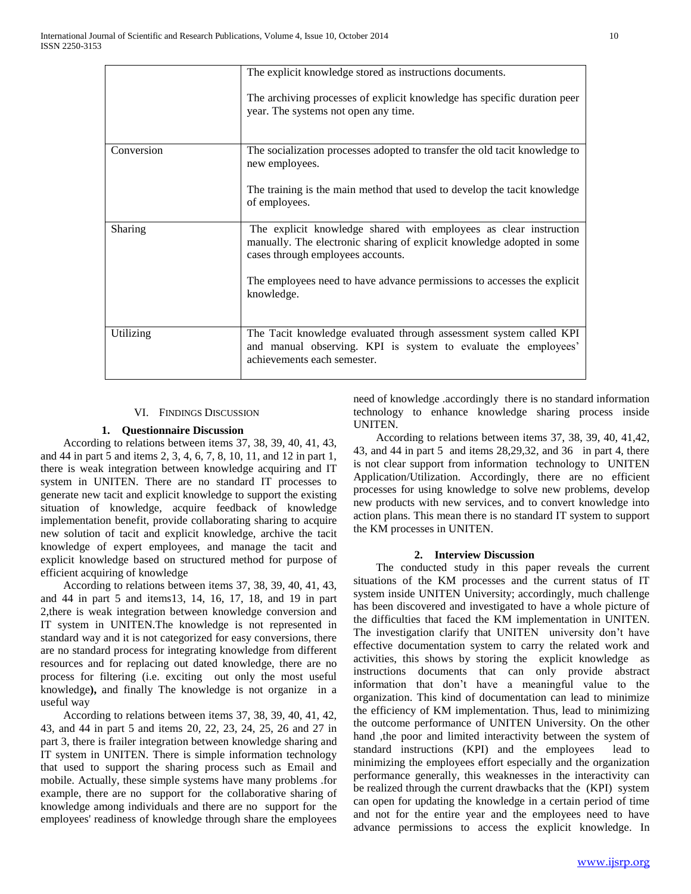|            | The explicit knowledge stored as instructions documents.<br>The archiving processes of explicit knowledge has specific duration peer<br>year. The systems not open any time.                                                                                              |
|------------|---------------------------------------------------------------------------------------------------------------------------------------------------------------------------------------------------------------------------------------------------------------------------|
| Conversion | The socialization processes adopted to transfer the old tacit knowledge to<br>new employees.<br>The training is the main method that used to develop the tacit knowledge<br>of employees.                                                                                 |
| Sharing    | The explicit knowledge shared with employees as clear instruction<br>manually. The electronic sharing of explicit knowledge adopted in some<br>cases through employees accounts.<br>The employees need to have advance permissions to accesses the explicit<br>knowledge. |
| Utilizing  | The Tacit knowledge evaluated through assessment system called KPI<br>and manual observing. KPI is system to evaluate the employees'<br>achievements each semester.                                                                                                       |

# VI. FINDINGS DISCUSSION

# **1. Questionnaire Discussion**

 According to relations between items 37, 38, 39, 40, 41, 43, and 44 in part 5 and items 2, 3, 4, 6, 7, 8, 10, 11, and 12 in part 1, there is weak integration between knowledge acquiring and IT system in UNITEN. There are no standard IT processes to generate new tacit and explicit knowledge to support the existing situation of knowledge, acquire feedback of knowledge implementation benefit, provide collaborating sharing to acquire new solution of tacit and explicit knowledge, archive the tacit knowledge of expert employees, and manage the tacit and explicit knowledge based on structured method for purpose of efficient acquiring of knowledge

 According to relations between items 37, 38, 39, 40, 41, 43, and 44 in part 5 and items13, 14, 16, 17, 18, and 19 in part 2,there is weak integration between knowledge conversion and IT system in UNITEN.The knowledge is not represented in standard way and it is not categorized for easy conversions, there are no standard process for integrating knowledge from different resources and for replacing out dated knowledge, there are no process for filtering (i.e. exciting out only the most useful knowledge**),** and finally The knowledge is not organize in a useful way

 According to relations between items 37, 38, 39, 40, 41, 42, 43, and 44 in part 5 and items 20, 22, 23, 24, 25, 26 and 27 in part 3, there is frailer integration between knowledge sharing and IT system in UNITEN. There is simple information technology that used to support the sharing process such as Email and mobile. Actually, these simple systems have many problems .for example, there are no support for the collaborative sharing of knowledge among individuals and there are no support for the employees' readiness of knowledge through share the employees

need of knowledge .accordingly there is no standard information technology to enhance knowledge sharing process inside UNITEN.

 According to relations between items 37, 38, 39, 40, 41,42, 43, and 44 in part 5 and items 28,29,32, and 36 in part 4, there is not clear support from information technology to UNITEN Application/Utilization. Accordingly, there are no efficient processes for using knowledge to solve new problems, develop new products with new services, and to convert knowledge into action plans. This mean there is no standard IT system to support the KM processes in UNITEN.

### **2. Interview Discussion**

 The conducted study in this paper reveals the current situations of the KM processes and the current status of IT system inside UNITEN University; accordingly, much challenge has been discovered and investigated to have a whole picture of the difficulties that faced the KM implementation in UNITEN. The investigation clarify that UNITEN university don't have effective documentation system to carry the related work and activities, this shows by storing the explicit knowledge as instructions documents that can only provide abstract information that don't have a meaningful value to the organization. This kind of documentation can lead to minimize the efficiency of KM implementation. Thus, lead to minimizing the outcome performance of UNITEN University. On the other hand ,the poor and limited interactivity between the system of standard instructions (KPI) and the employees lead to minimizing the employees effort especially and the organization performance generally, this weaknesses in the interactivity can be realized through the current drawbacks that the (KPI) system can open for updating the knowledge in a certain period of time and not for the entire year and the employees need to have advance permissions to access the explicit knowledge. In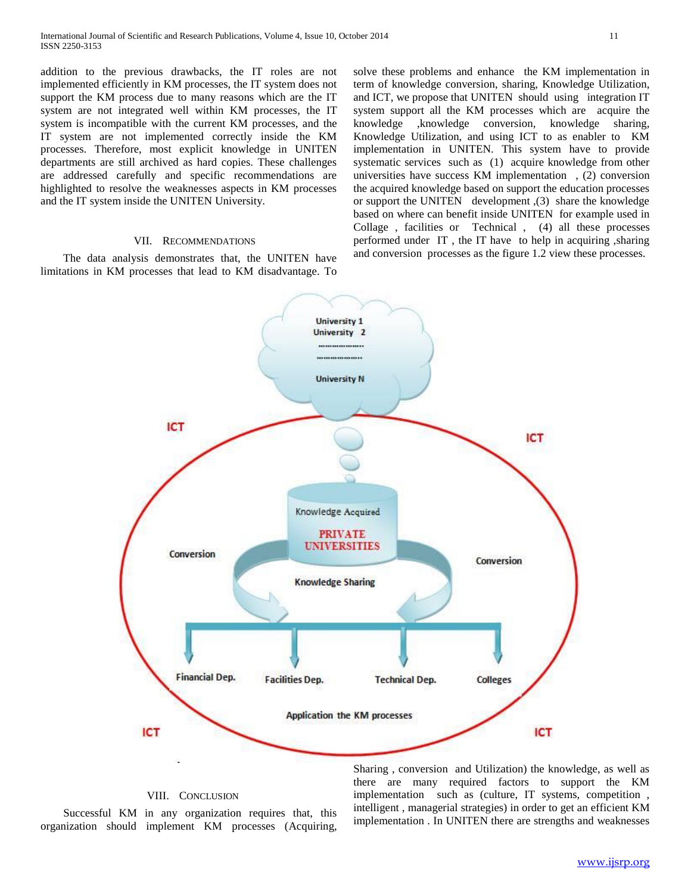addition to the previous drawbacks, the IT roles are not implemented efficiently in KM processes, the IT system does not support the KM process due to many reasons which are the IT system are not integrated well within KM processes, the IT system is incompatible with the current KM processes, and the IT system are not implemented correctly inside the KM processes. Therefore, most explicit knowledge in UNITEN departments are still archived as hard copies. These challenges are addressed carefully and specific recommendations are highlighted to resolve the weaknesses aspects in KM processes and the IT system inside the UNITEN University.

### VII. RECOMMENDATIONS

 The data analysis demonstrates that, the UNITEN have limitations in KM processes that lead to KM disadvantage. To solve these problems and enhance the KM implementation in term of knowledge conversion, sharing, Knowledge Utilization, and ICT, we propose that UNITEN should using integration IT system support all the KM processes which are acquire the knowledge ,knowledge conversion, knowledge sharing, Knowledge Utilization, and using ICT to as enabler to KM implementation in UNITEN. This system have to provide systematic services such as (1) acquire knowledge from other universities have success KM implementation , (2) conversion the acquired knowledge based on support the education processes or support the UNITEN development ,(3) share the knowledge based on where can benefit inside UNITEN for example used in Collage , facilities or Technical , (4) all these processes performed under IT , the IT have to help in acquiring ,sharing and conversion processes as the figure 1.2 view these processes.



# VIII. CONCLUSION

 Successful KM in any organization requires that, this organization should implement KM processes (Acquiring,

Sharing , conversion and Utilization) the knowledge, as well as there are many required factors to support the KM implementation such as (culture, IT systems, competition , intelligent , managerial strategies) in order to get an efficient KM implementation . In UNITEN there are strengths and weaknesses